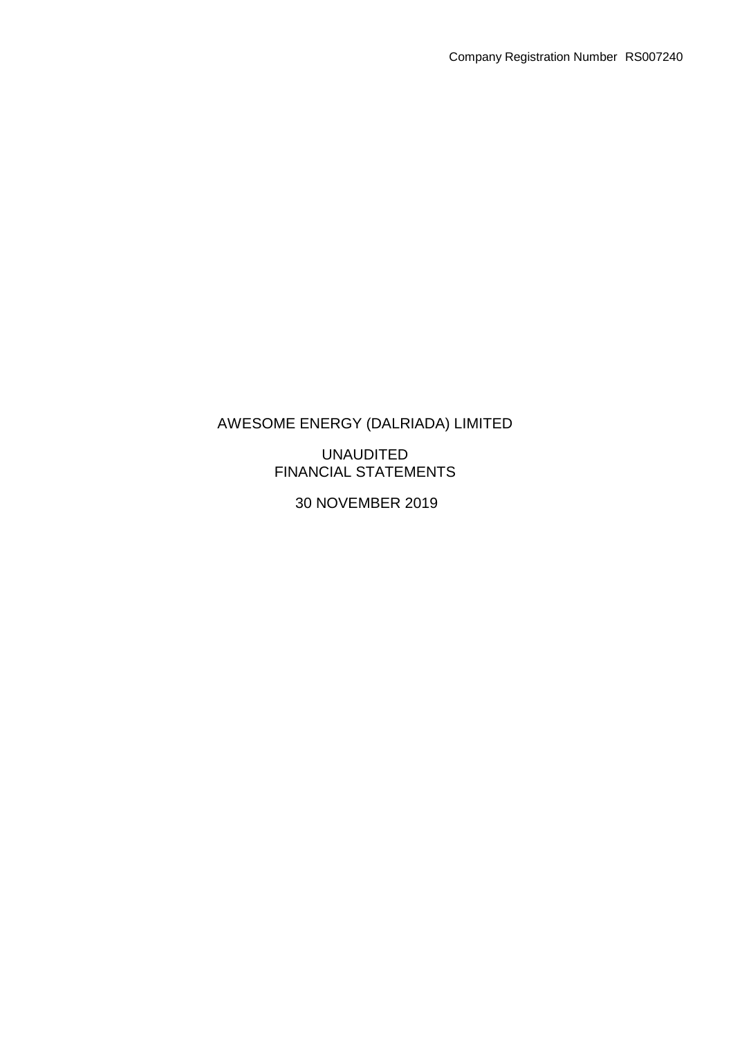## UNAUDITED FINANCIAL STATEMENTS

30 NOVEMBER 2019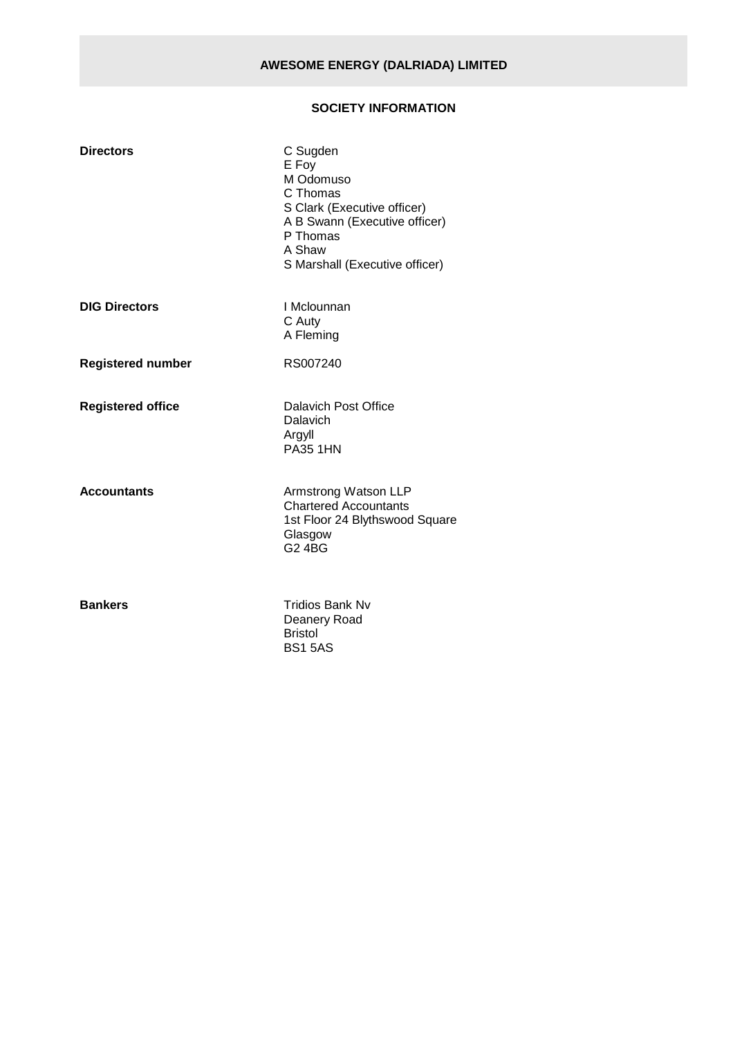## **SOCIETY INFORMATION**

| <b>Directors</b>         | C Sugden<br>E Foy<br>M Odomuso<br>C Thomas<br>S Clark (Executive officer)<br>A B Swann (Executive officer)<br>P Thomas<br>A Shaw<br>S Marshall (Executive officer) |
|--------------------------|--------------------------------------------------------------------------------------------------------------------------------------------------------------------|
| <b>DIG Directors</b>     | I Mclounnan<br>C Auty<br>A Fleming                                                                                                                                 |
| <b>Registered number</b> | RS007240                                                                                                                                                           |
| <b>Registered office</b> | Dalavich Post Office<br>Dalavich<br>Argyll<br><b>PA35 1HN</b>                                                                                                      |
| <b>Accountants</b>       | Armstrong Watson LLP<br><b>Chartered Accountants</b><br>1st Floor 24 Blythswood Square<br>Glasgow<br><b>G2 4BG</b>                                                 |
| <b>Bankers</b>           | <b>Tridios Bank Nv</b><br>Deanery Road<br><b>Bristol</b><br><b>BS15AS</b>                                                                                          |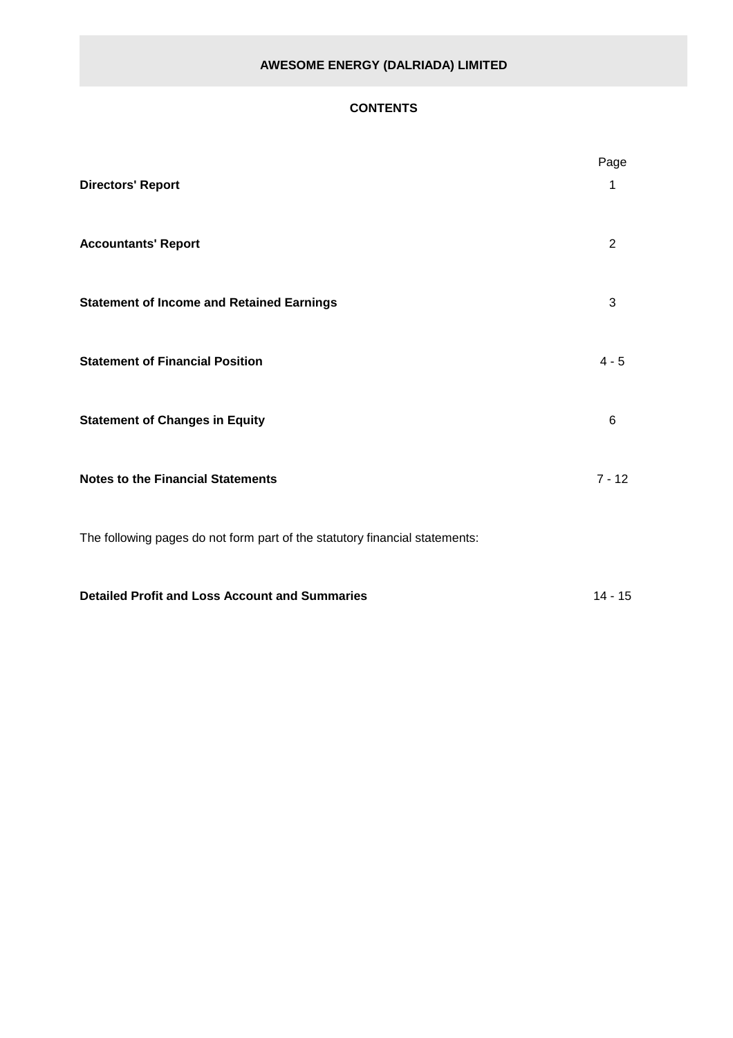## **CONTENTS**

| <b>Directors' Report</b>                                                    | Page<br>1 |
|-----------------------------------------------------------------------------|-----------|
| <b>Accountants' Report</b>                                                  | 2         |
| <b>Statement of Income and Retained Earnings</b>                            | 3         |
| <b>Statement of Financial Position</b>                                      | $4 - 5$   |
| <b>Statement of Changes in Equity</b>                                       | 6         |
| <b>Notes to the Financial Statements</b>                                    | $7 - 12$  |
| The following pages do not form part of the statutory financial statements: |           |
| <b>Detailed Profit and Loss Account and Summaries</b>                       | $14 - 15$ |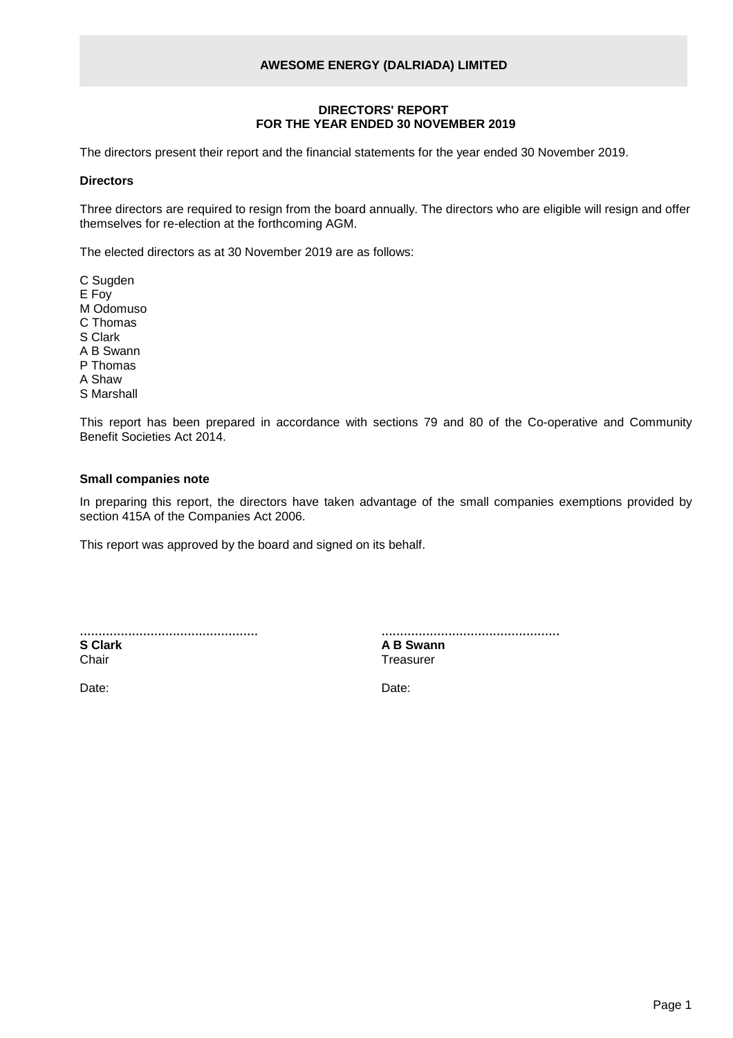#### **DIRECTORS' REPORT FOR THE YEAR ENDED 30 NOVEMBER 2019**

The directors present their report and the financial statements for the year ended 30 November 2019.

#### **Directors**

Three directors are required to resign from the board annually. The directors who are eligible will resign and offer themselves for re-election at the forthcoming AGM.

The elected directors as at 30 November 2019 are as follows:

C Sugden E Foy M Odomuso C Thomas S Clark A B Swann P Thomas A Shaw S Marshall

This report has been prepared in accordance with sections 79 and 80 of the Co-operative and Community Benefit Societies Act 2014.

## **Small companies note**

In preparing this report, the directors have taken advantage of the small companies exemptions provided by section 415A of the Companies Act 2006.

This report was approved by the board and signed on its behalf.

| <b>S</b> Clark |  |
|----------------|--|
| Chair          |  |

................................................ **A B Swann Treasurer** 

Date: **Date:** Date: **Date: Date: Date: Date: Date: Date: Date: Date: Date: Date: Date: Date: Date: Date: Date: Date: Date: Date: Date: Date: Date: Date: Date: Date: Date: D**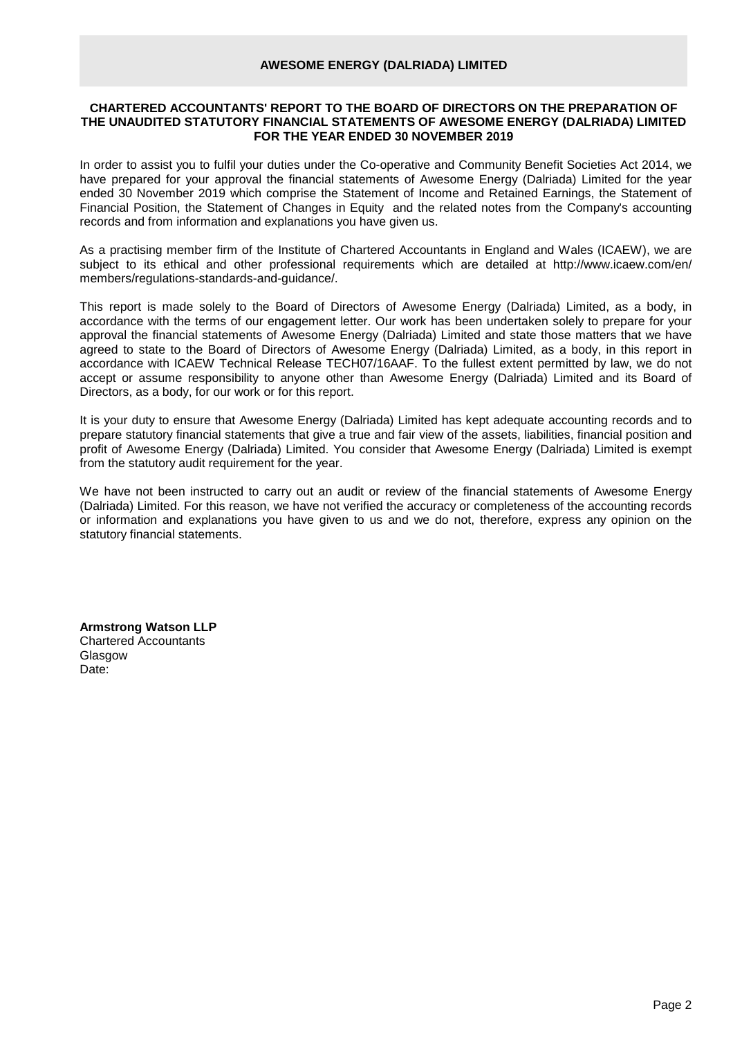#### **CHARTERED ACCOUNTANTS' REPORT TO THE BOARD OF DIRECTORS ON THE PREPARATION OF THE UNAUDITED STATUTORY FINANCIAL STATEMENTS OF AWESOME ENERGY (DALRIADA) LIMITED FOR THE YEAR ENDED 30 NOVEMBER 2019**

In order to assist you to fulfil your duties under the Co-operative and Community Benefit Societies Act 2014, we have prepared for your approval the financial statements of Awesome Energy (Dalriada) Limited for the year ended 30 November 2019 which comprise the Statement of Income and Retained Earnings, the Statement of Financial Position, the Statement of Changes in Equity and the related notes from the Company's accounting records and from information and explanations you have given us.

As a practising member firm of the Institute of Chartered Accountants in England and Wales (ICAEW), we are subject to its ethical and other professional requirements which are detailed at http://www.icaew.com/en/ members/regulations-standards-and-guidance/.

This report is made solely to the Board of Directors of Awesome Energy (Dalriada) Limited, as a body, in accordance with the terms of our engagement letter. Our work has been undertaken solely to prepare for your approval the financial statements of Awesome Energy (Dalriada) Limited and state those matters that we have agreed to state to the Board of Directors of Awesome Energy (Dalriada) Limited, as a body, in this report in accordance with ICAEW Technical Release TECH07/16AAF. To the fullest extent permitted by law, we do not accept or assume responsibility to anyone other than Awesome Energy (Dalriada) Limited and its Board of Directors, as a body, for our work or for this report.

It is your duty to ensure that Awesome Energy (Dalriada) Limited has kept adequate accounting records and to prepare statutory financial statements that give a true and fair view of the assets, liabilities, financial position and profit of Awesome Energy (Dalriada) Limited. You consider that Awesome Energy (Dalriada) Limited is exempt from the statutory audit requirement for the year.

We have not been instructed to carry out an audit or review of the financial statements of Awesome Energy (Dalriada) Limited. For this reason, we have not verified the accuracy or completeness of the accounting records or information and explanations you have given to us and we do not, therefore, express any opinion on the statutory financial statements.

**Armstrong Watson LLP** Chartered Accountants **Glasgow** Date: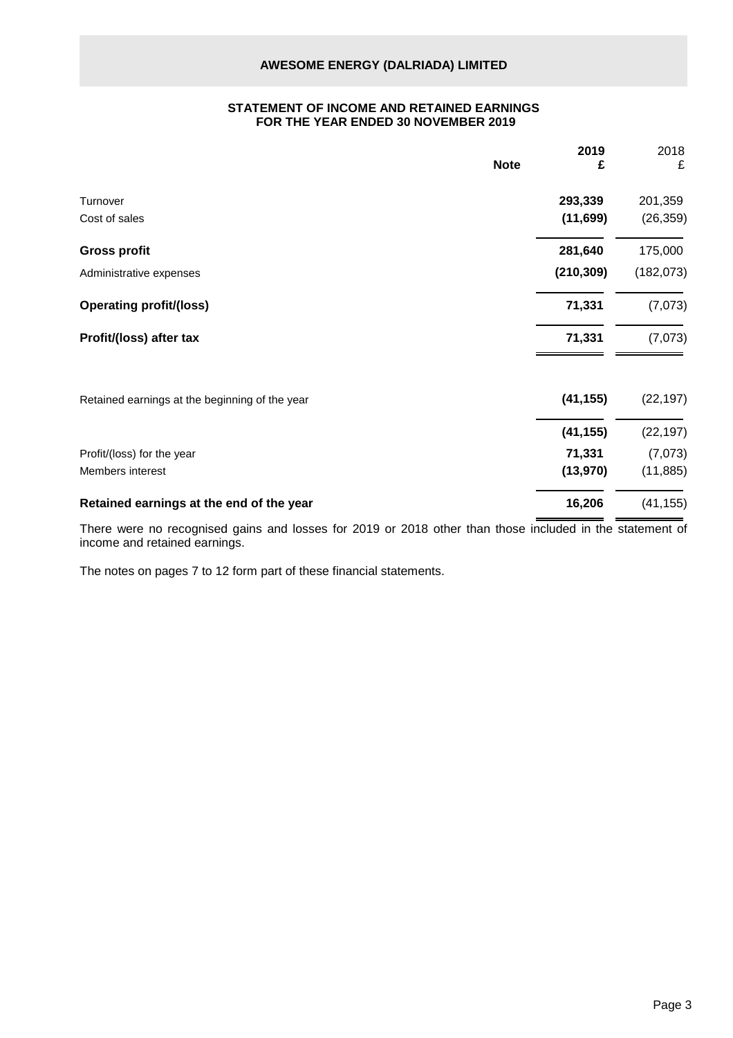#### **STATEMENT OF INCOME AND RETAINED EARNINGS FOR THE YEAR ENDED 30 NOVEMBER 2019**

| <b>Note</b>                                    | 2019<br>£  | 2018<br>£  |
|------------------------------------------------|------------|------------|
| Turnover                                       | 293,339    | 201,359    |
| Cost of sales                                  | (11, 699)  | (26, 359)  |
| <b>Gross profit</b>                            | 281,640    | 175,000    |
| Administrative expenses                        | (210, 309) | (182, 073) |
| <b>Operating profit/(loss)</b>                 | 71,331     | (7,073)    |
| Profit/(loss) after tax                        | 71,331     | (7,073)    |
| Retained earnings at the beginning of the year | (41, 155)  | (22, 197)  |
|                                                | (41, 155)  | (22, 197)  |
| Profit/(loss) for the year                     | 71,331     | (7,073)    |
| Members interest                               | (13, 970)  | (11, 885)  |
| Retained earnings at the end of the year       | 16,206     | (41, 155)  |

There were no recognised gains and losses for 2019 or 2018 other than those included in the statement of income and retained earnings.

The notes on pages 7 to 12 form part of these financial statements.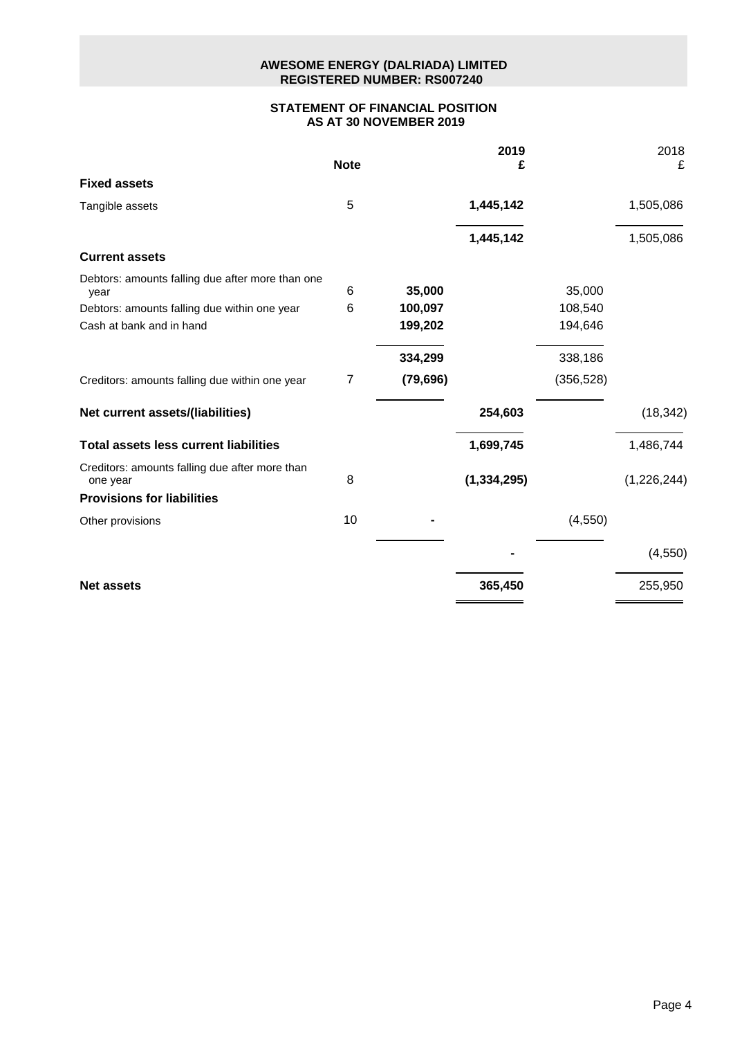## **AWESOME ENERGY (DALRIADA) LIMITED REGISTERED NUMBER: RS007240**

## **STATEMENT OF FINANCIAL POSITION AS AT 30 NOVEMBER 2019**

|                                                            | <b>Note</b> |           | 2019<br>£     |            | 2018<br>£   |
|------------------------------------------------------------|-------------|-----------|---------------|------------|-------------|
| <b>Fixed assets</b>                                        |             |           |               |            |             |
| Tangible assets                                            | 5           |           | 1,445,142     |            | 1,505,086   |
|                                                            |             |           | 1,445,142     |            | 1,505,086   |
| <b>Current assets</b>                                      |             |           |               |            |             |
| Debtors: amounts falling due after more than one<br>year   | 6           | 35,000    |               | 35,000     |             |
| Debtors: amounts falling due within one year               | 6           | 100,097   |               | 108,540    |             |
| Cash at bank and in hand                                   |             | 199,202   |               | 194,646    |             |
|                                                            |             | 334,299   |               | 338,186    |             |
| Creditors: amounts falling due within one year             | 7           | (79, 696) |               | (356, 528) |             |
| Net current assets/(liabilities)                           |             |           | 254,603       |            | (18, 342)   |
| <b>Total assets less current liabilities</b>               |             |           | 1,699,745     |            | 1,486,744   |
| Creditors: amounts falling due after more than<br>one year | 8           |           | (1, 334, 295) |            | (1,226,244) |
| <b>Provisions for liabilities</b>                          |             |           |               |            |             |
| Other provisions                                           | 10          |           |               | (4, 550)   |             |
|                                                            |             |           |               |            | (4,550)     |
| <b>Net assets</b>                                          |             |           | 365,450       |            | 255,950     |
|                                                            |             |           |               |            |             |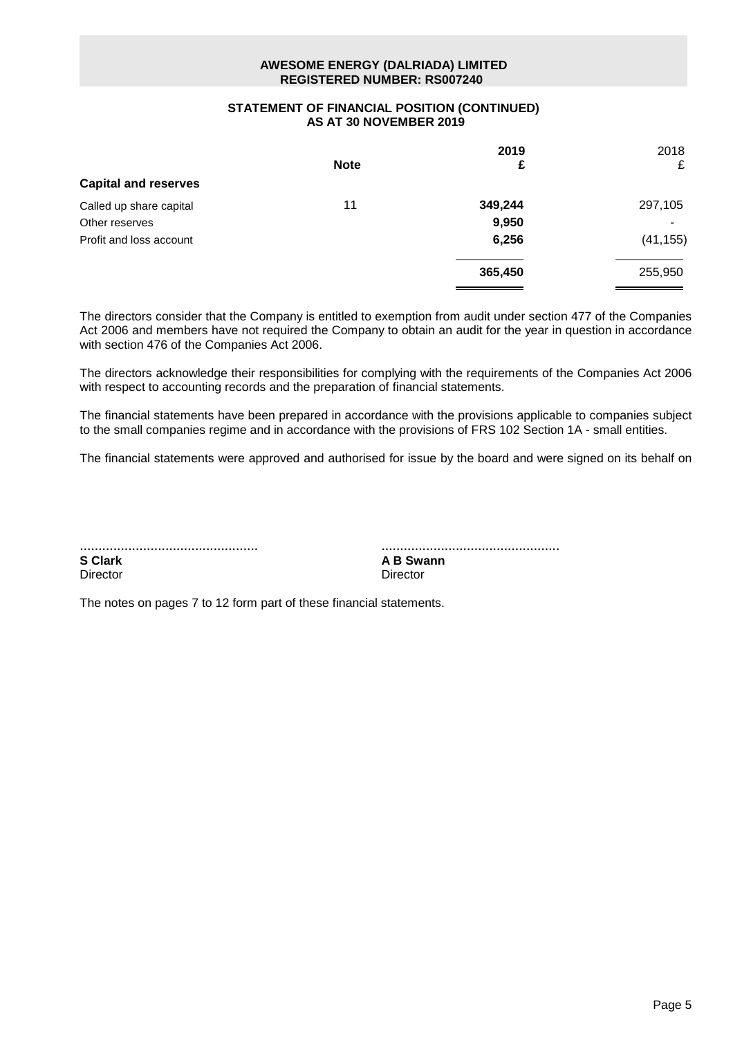## **AWESOME ENERGY (DALRIADA) LIMITED REGISTERED NUMBER: RS007240**

### **STATEMENT OF FINANCIAL POSITION (CONTINUED) AS AT 30 NOVEMBER 2019**

|             | 2019    | 2018      |
|-------------|---------|-----------|
| <b>Note</b> | £       | £         |
|             |         |           |
| 11          | 349,244 | 297,105   |
|             | 9,950   |           |
|             | 6,256   | (41, 155) |
|             | 365,450 | 255,950   |
|             |         |           |

The directors consider that the Company is entitled to exemption from audit under section 477 of the Companies Act 2006 and members have not required the Company to obtain an audit for the year in question in accordance with section 476 of the Companies Act 2006.

The directors acknowledge their responsibilities for complying with the requirements of the Companies Act 2006 with respect to accounting records and the preparation of financial statements.

The financial statements have been prepared in accordance with the provisions applicable to companies subject to the small companies regime and in accordance with the provisions of FRS 102 Section 1A - small entities.

The financial statements were approved and authorised for issue by the board and were signed on its behalf on

| <b>S</b> Clark |  |  |  |
|----------------|--|--|--|
| Director       |  |  |  |

................................................ **A B Swann** Director

The notes on pages 7 to 12 form part of these financial statements.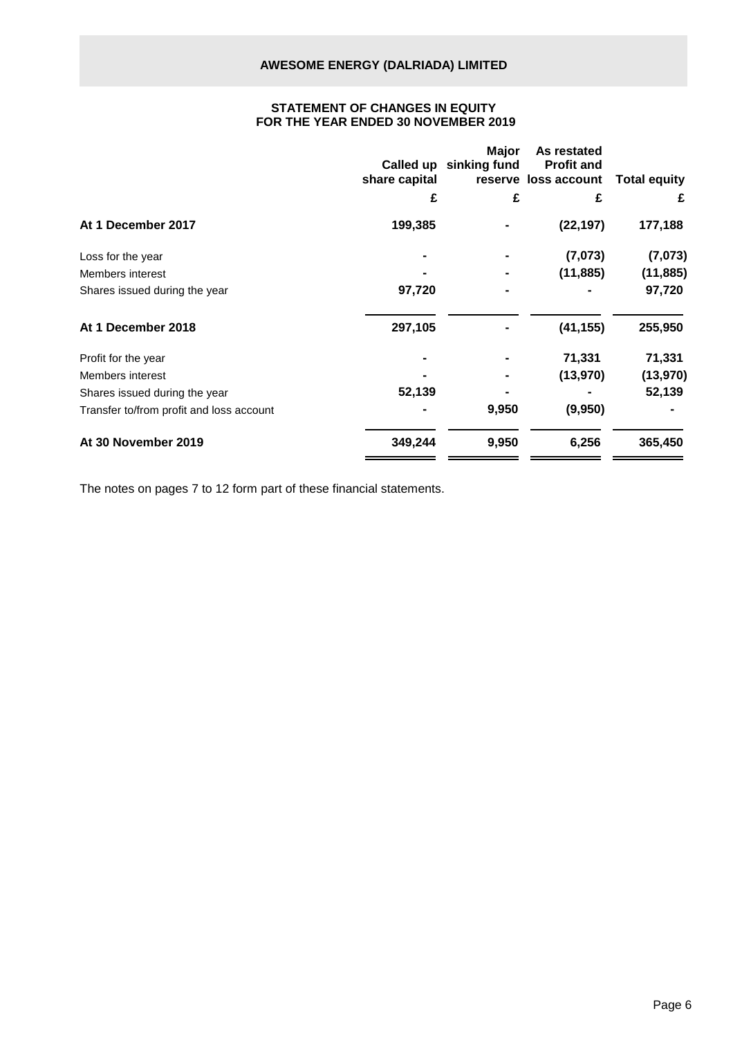## **STATEMENT OF CHANGES IN EQUITY FOR THE YEAR ENDED 30 NOVEMBER 2019**

|                                          | share capital | <b>Major</b><br>Called up sinking fund | As restated<br><b>Profit and</b><br>reserve loss account | <b>Total equity</b> |
|------------------------------------------|---------------|----------------------------------------|----------------------------------------------------------|---------------------|
|                                          | £             | £                                      | £                                                        | £                   |
| At 1 December 2017                       | 199,385       |                                        | (22, 197)                                                | 177,188             |
| Loss for the year                        |               |                                        | (7,073)                                                  | (7,073)             |
| Members interest                         |               |                                        | (11, 885)                                                | (11, 885)           |
| Shares issued during the year            | 97,720        |                                        |                                                          | 97,720              |
| At 1 December 2018                       | 297,105       |                                        | (41, 155)                                                | 255,950             |
| Profit for the year                      |               |                                        | 71,331                                                   | 71,331              |
| Members interest                         |               |                                        | (13, 970)                                                | (13, 970)           |
| Shares issued during the year            | 52,139        |                                        |                                                          | 52,139              |
| Transfer to/from profit and loss account |               | 9,950                                  | (9,950)                                                  |                     |
| At 30 November 2019                      | 349,244       | 9,950                                  | 6,256                                                    | 365,450             |
|                                          |               |                                        |                                                          |                     |

The notes on pages 7 to 12 form part of these financial statements.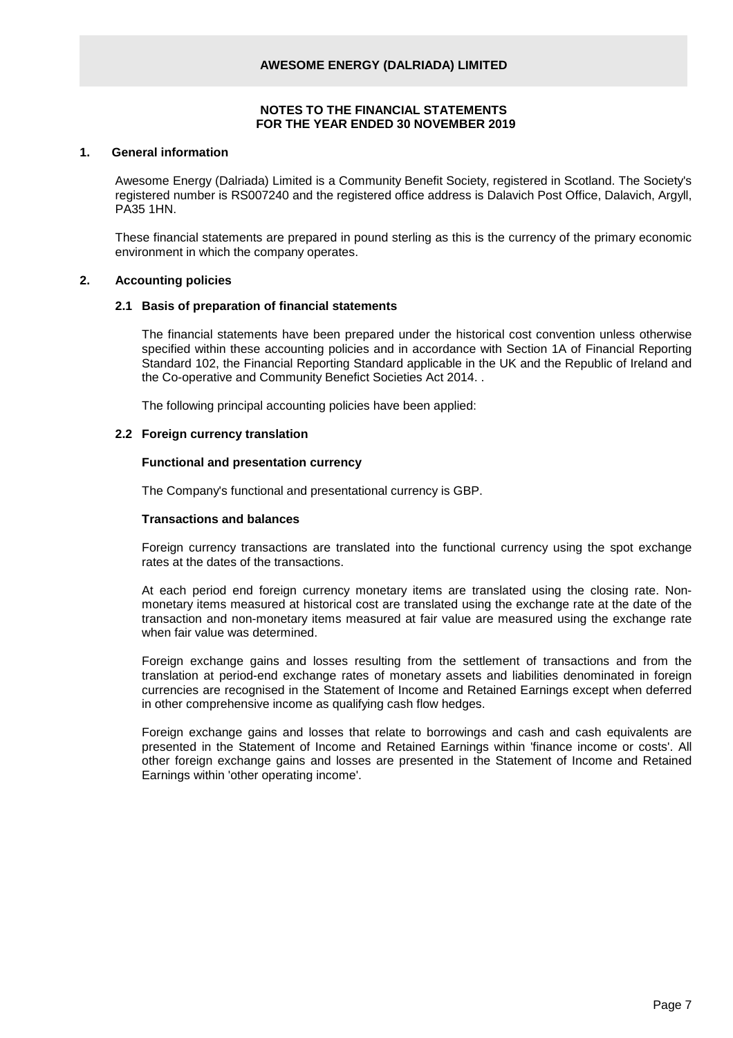#### **NOTES TO THE FINANCIAL STATEMENTS FOR THE YEAR ENDED 30 NOVEMBER 2019**

#### **1. General information**

Awesome Energy (Dalriada) Limited is a Community Benefit Society, registered in Scotland. The Society's registered number is RS007240 and the registered office address is Dalavich Post Office, Dalavich, Argyll, PA35 1HN.

These financial statements are prepared in pound sterling as this is the currency of the primary economic environment in which the company operates.

#### **2. Accounting policies**

#### **2.1 Basis of preparation of financial statements**

The financial statements have been prepared under the historical cost convention unless otherwise specified within these accounting policies and in accordance with Section 1A of Financial Reporting Standard 102, the Financial Reporting Standard applicable in the UK and the Republic of Ireland and the Co-operative and Community Benefict Societies Act 2014. .

The following principal accounting policies have been applied:

#### **2.2 Foreign currency translation**

#### **Functional and presentation currency**

The Company's functional and presentational currency is GBP.

#### **Transactions and balances**

Foreign currency transactions are translated into the functional currency using the spot exchange rates at the dates of the transactions.

At each period end foreign currency monetary items are translated using the closing rate. Nonmonetary items measured at historical cost are translated using the exchange rate at the date of the transaction and non-monetary items measured at fair value are measured using the exchange rate when fair value was determined.

Foreign exchange gains and losses resulting from the settlement of transactions and from the translation at period-end exchange rates of monetary assets and liabilities denominated in foreign currencies are recognised in the Statement of Income and Retained Earnings except when deferred in other comprehensive income as qualifying cash flow hedges.

Foreign exchange gains and losses that relate to borrowings and cash and cash equivalents are presented in the Statement of Income and Retained Earnings within 'finance income or costs'. All other foreign exchange gains and losses are presented in the Statement of Income and Retained Earnings within 'other operating income'.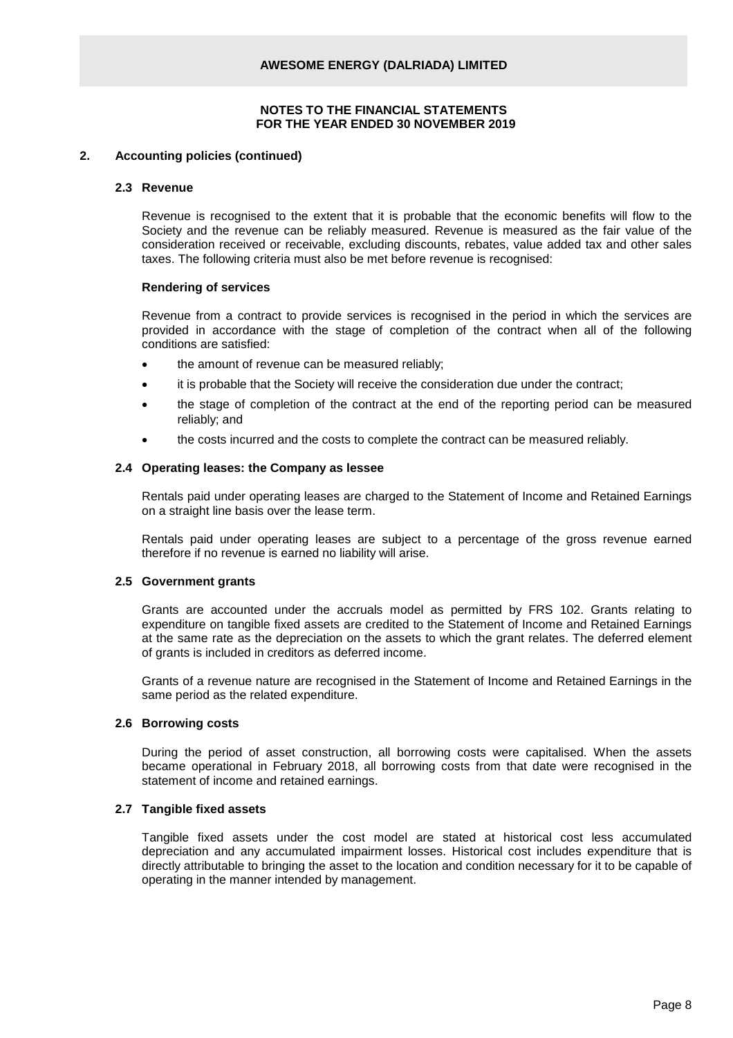#### **2. Accounting policies (continued)**

#### **2.3 Revenue**

Revenue is recognised to the extent that it is probable that the economic benefits will flow to the Society and the revenue can be reliably measured. Revenue is measured as the fair value of the consideration received or receivable, excluding discounts, rebates, value added tax and other sales taxes. The following criteria must also be met before revenue is recognised:

#### **Rendering of services**

Revenue from a contract to provide services is recognised in the period in which the services are provided in accordance with the stage of completion of the contract when all of the following conditions are satisfied:

- the amount of revenue can be measured reliably;
- it is probable that the Society will receive the consideration due under the contract;
- the stage of completion of the contract at the end of the reporting period can be measured reliably; and
- the costs incurred and the costs to complete the contract can be measured reliably.

#### **2.4 Operating leases: the Company as lessee**

Rentals paid under operating leases are charged to the Statement of Income and Retained Earnings on a straight line basis over the lease term.

Rentals paid under operating leases are subject to a percentage of the gross revenue earned therefore if no revenue is earned no liability will arise.

#### **2.5 Government grants**

Grants are accounted under the accruals model as permitted by FRS 102. Grants relating to expenditure on tangible fixed assets are credited to the Statement of Income and Retained Earnings at the same rate as the depreciation on the assets to which the grant relates. The deferred element of grants is included in creditors as deferred income.

Grants of a revenue nature are recognised in the Statement of Income and Retained Earnings in the same period as the related expenditure.

## **2.6 Borrowing costs**

During the period of asset construction, all borrowing costs were capitalised. When the assets became operational in February 2018, all borrowing costs from that date were recognised in the statement of income and retained earnings.

#### **2.7 Tangible fixed assets**

Tangible fixed assets under the cost model are stated at historical cost less accumulated depreciation and any accumulated impairment losses. Historical cost includes expenditure that is directly attributable to bringing the asset to the location and condition necessary for it to be capable of operating in the manner intended by management.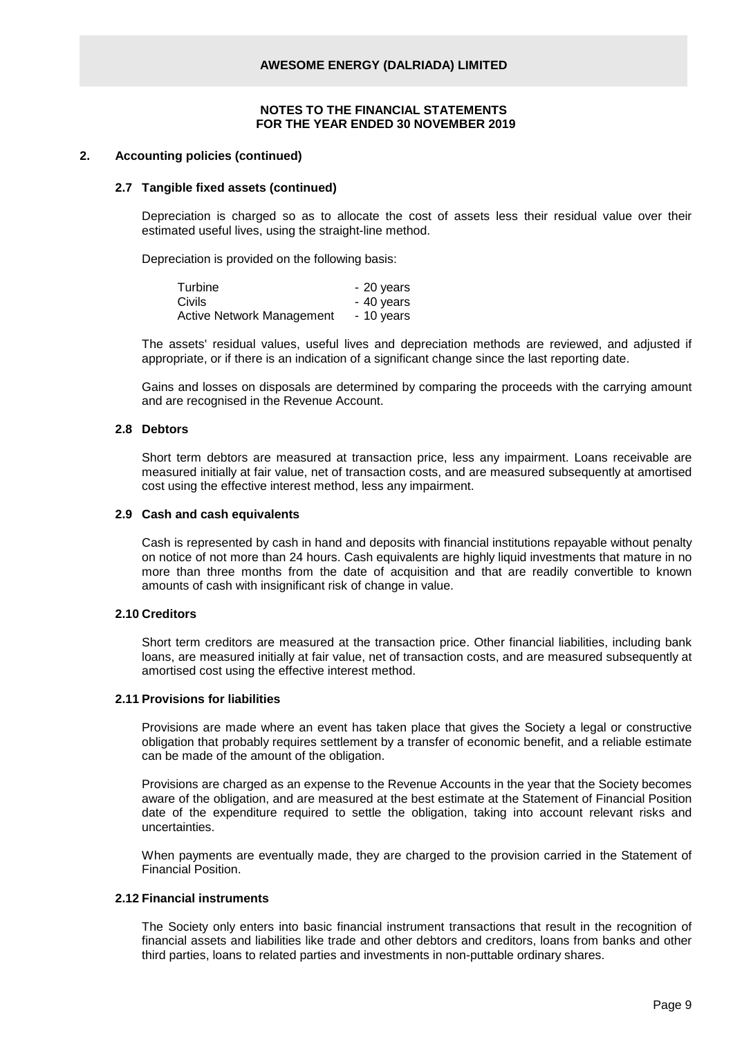#### **2. Accounting policies (continued)**

#### **2.7 Tangible fixed assets (continued)**

Depreciation is charged so as to allocate the cost of assets less their residual value over their estimated useful lives, using the straight-line method.

Depreciation is provided on the following basis:

| Turbine                          | - 20 years |
|----------------------------------|------------|
| Civils                           | - 40 years |
| <b>Active Network Management</b> | - 10 years |

The assets' residual values, useful lives and depreciation methods are reviewed, and adjusted if appropriate, or if there is an indication of a significant change since the last reporting date.

Gains and losses on disposals are determined by comparing the proceeds with the carrying amount and are recognised in the Revenue Account.

#### **2.8 Debtors**

Short term debtors are measured at transaction price, less any impairment. Loans receivable are measured initially at fair value, net of transaction costs, and are measured subsequently at amortised cost using the effective interest method, less any impairment.

#### **2.9 Cash and cash equivalents**

Cash is represented by cash in hand and deposits with financial institutions repayable without penalty on notice of not more than 24 hours. Cash equivalents are highly liquid investments that mature in no more than three months from the date of acquisition and that are readily convertible to known amounts of cash with insignificant risk of change in value.

## **2.10 Creditors**

Short term creditors are measured at the transaction price. Other financial liabilities, including bank loans, are measured initially at fair value, net of transaction costs, and are measured subsequently at amortised cost using the effective interest method.

#### **2.11 Provisions for liabilities**

Provisions are made where an event has taken place that gives the Society a legal or constructive obligation that probably requires settlement by a transfer of economic benefit, and a reliable estimate can be made of the amount of the obligation.

Provisions are charged as an expense to the Revenue Accounts in the year that the Society becomes aware of the obligation, and are measured at the best estimate at the Statement of Financial Position date of the expenditure required to settle the obligation, taking into account relevant risks and uncertainties.

When payments are eventually made, they are charged to the provision carried in the Statement of Financial Position.

## **2.12 Financial instruments**

The Society only enters into basic financial instrument transactions that result in the recognition of financial assets and liabilities like trade and other debtors and creditors, loans from banks and other third parties, loans to related parties and investments in non-puttable ordinary shares.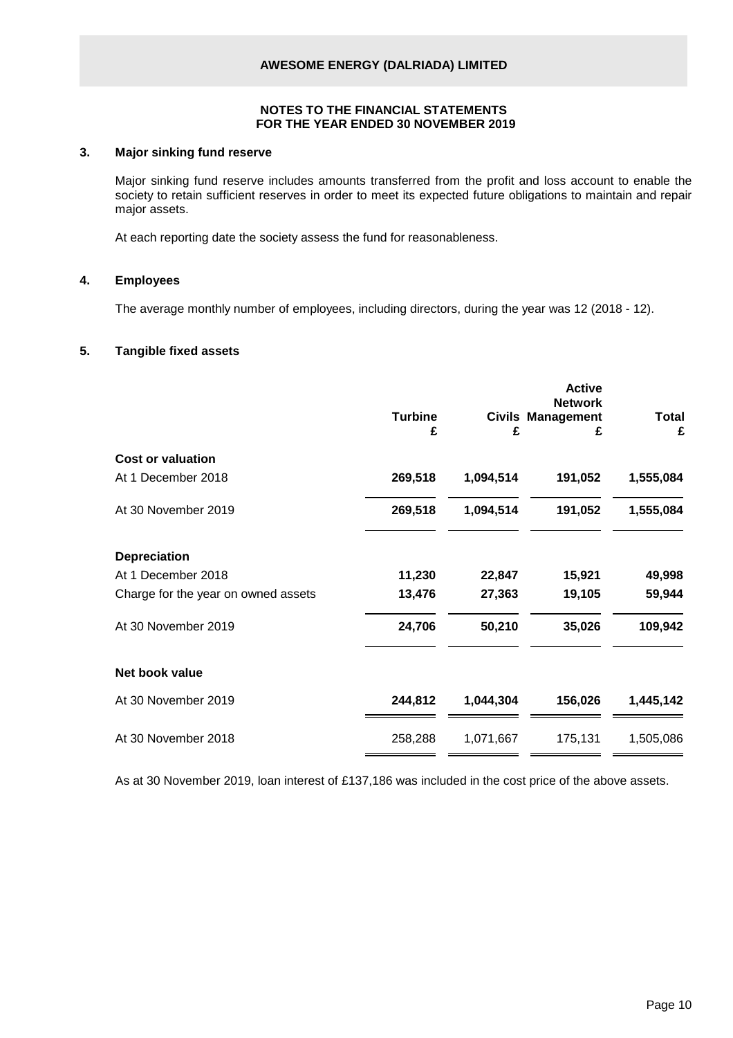#### **3. Major sinking fund reserve**

Major sinking fund reserve includes amounts transferred from the profit and loss account to enable the society to retain sufficient reserves in order to meet its expected future obligations to maintain and repair major assets.

At each reporting date the society assess the fund for reasonableness.

## **4. Employees**

The average monthly number of employees, including directors, during the year was 12 (2018 - 12).

## **5. Tangible fixed assets**

| £         |
|-----------|
|           |
| 1,555,084 |
| 1,555,084 |
|           |
| 49,998    |
| 59,944    |
| 109,942   |
|           |
| 1,445,142 |
| 1,505,086 |
|           |

As at 30 November 2019, loan interest of £137,186 was included in the cost price of the above assets.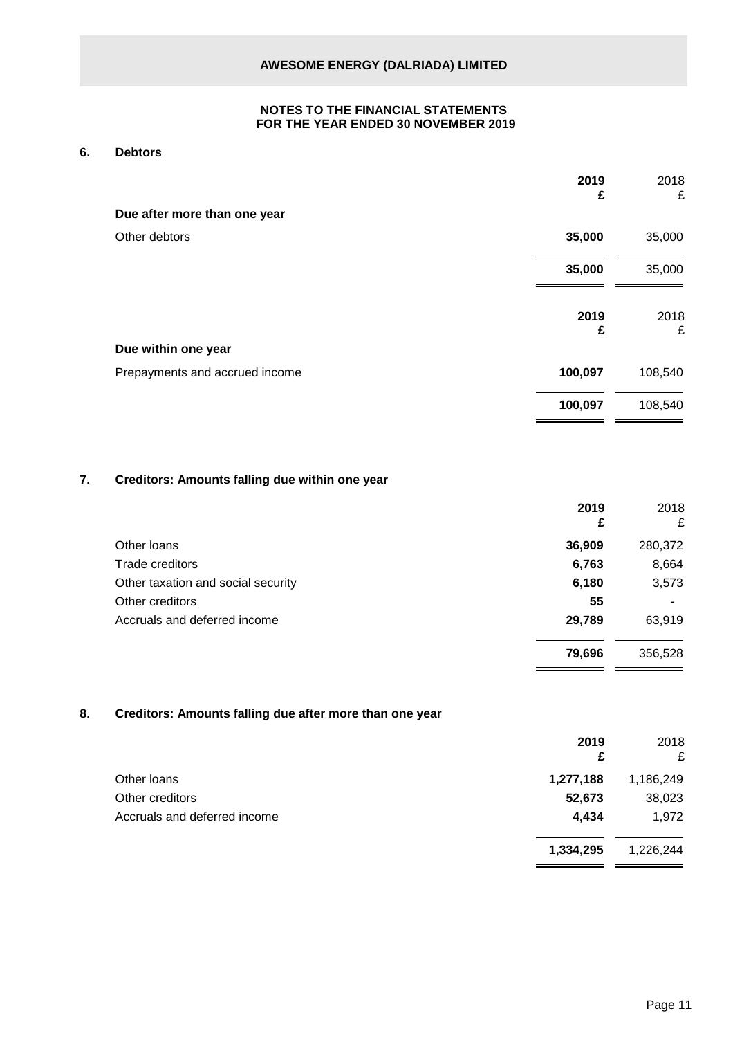### **6. Debtors**

|                                | 2019<br>£ | 2018<br>£ |
|--------------------------------|-----------|-----------|
| Due after more than one year   |           |           |
| Other debtors                  | 35,000    | 35,000    |
|                                | 35,000    | 35,000    |
|                                | 2019<br>£ | 2018<br>£ |
| Due within one year            |           |           |
| Prepayments and accrued income | 100,097   | 108,540   |
|                                | 100,097   | 108,540   |

## **7. Creditors: Amounts falling due within one year**

|                                    | 2019<br>£ | 2018<br>£ |
|------------------------------------|-----------|-----------|
| Other Ioans                        | 36,909    | 280,372   |
| Trade creditors                    | 6,763     | 8,664     |
| Other taxation and social security | 6,180     | 3,573     |
| Other creditors                    | 55        |           |
| Accruals and deferred income       | 29,789    | 63,919    |
|                                    | 79,696    | 356,528   |

## **8. Creditors: Amounts falling due after more than one year**

|                              | 2019<br>£ | 2018<br>£ |
|------------------------------|-----------|-----------|
| Other Ioans                  | 1,277,188 | 1,186,249 |
| Other creditors              | 52,673    | 38,023    |
| Accruals and deferred income | 4,434     | 1,972     |
|                              | 1,334,295 | 1,226,244 |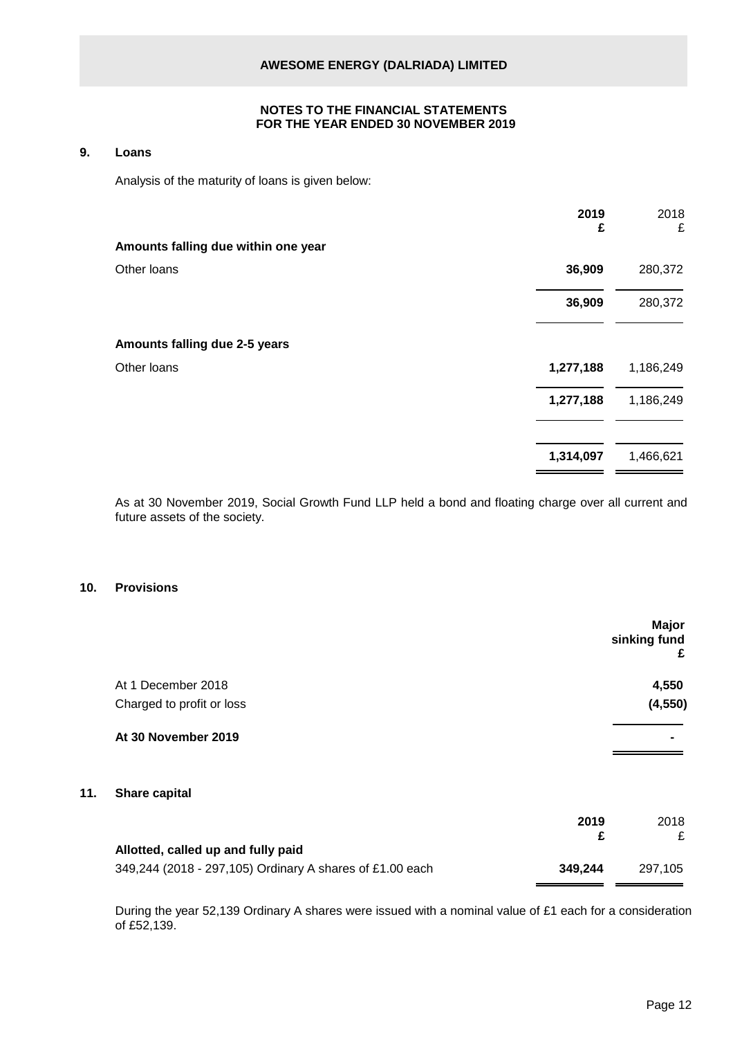#### **9. Loans**

Analysis of the maturity of loans is given below:

| 2019<br>£ | 2018<br>£ |
|-----------|-----------|
|           |           |
| 36,909    | 280,372   |
| 36,909    | 280,372   |
|           |           |
| 1,277,188 | 1,186,249 |
| 1,277,188 | 1,186,249 |
| 1,314,097 | 1,466,621 |
|           |           |

As at 30 November 2019, Social Growth Fund LLP held a bond and floating charge over all current and future assets of the society.

## **10. Provisions**

**11. Share capital**

|      | Major<br>sinking fund<br>£ |
|------|----------------------------|
|      | 4,550                      |
|      | (4, 550)                   |
|      |                            |
|      |                            |
| 2019 | 2018                       |
| £    | £                          |
|      | 297,105                    |
|      | 349,244                    |

During the year 52,139 Ordinary A shares were issued with a nominal value of £1 each for a consideration of £52,139.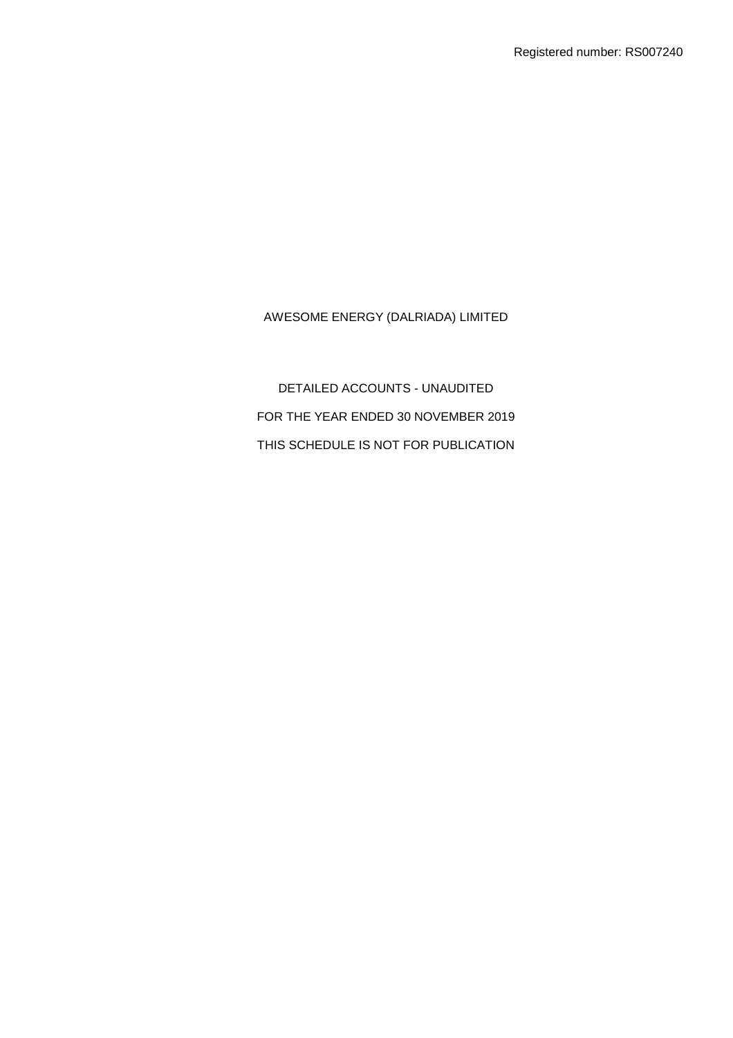DETAILED ACCOUNTS - UNAUDITED FOR THE YEAR ENDED 30 NOVEMBER 2019 THIS SCHEDULE IS NOT FOR PUBLICATION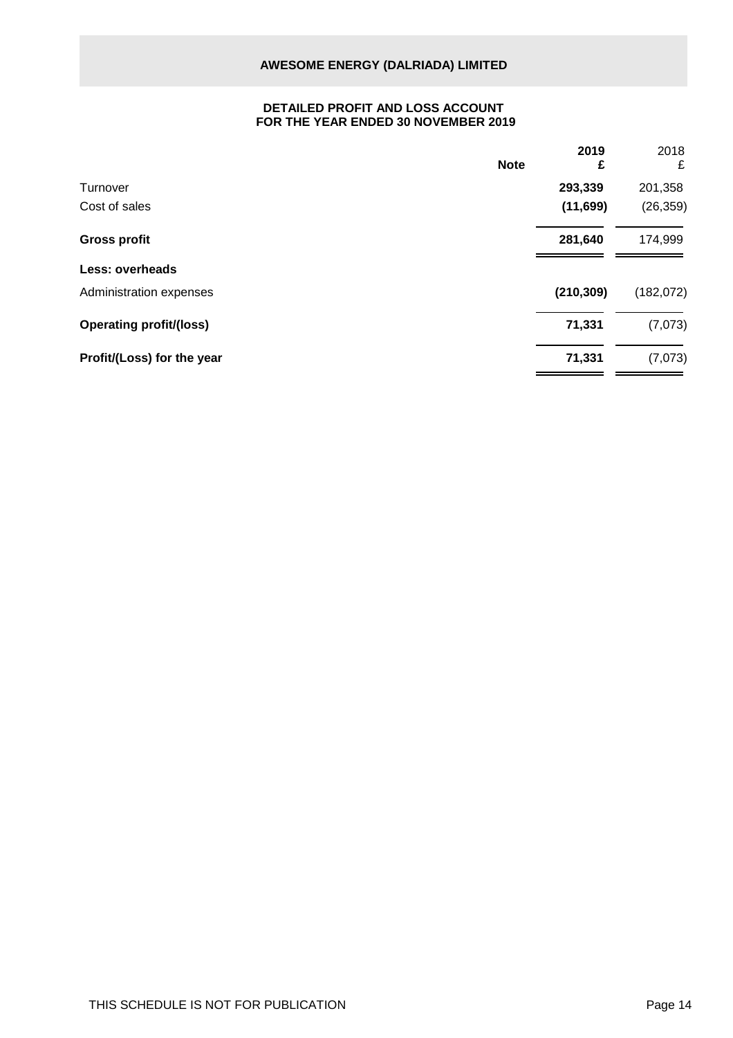## **DETAILED PROFIT AND LOSS ACCOUNT FOR THE YEAR ENDED 30 NOVEMBER 2019**

|                                | <b>Note</b> | 2019<br>£  | 2018<br>£  |
|--------------------------------|-------------|------------|------------|
| Turnover                       |             | 293,339    | 201,358    |
| Cost of sales                  |             | (11, 699)  | (26, 359)  |
| <b>Gross profit</b>            |             | 281,640    | 174,999    |
| <b>Less: overheads</b>         |             |            |            |
| Administration expenses        |             | (210, 309) | (182, 072) |
| <b>Operating profit/(loss)</b> |             | 71,331     | (7,073)    |
| Profit/(Loss) for the year     |             | 71,331     | (7,073)    |